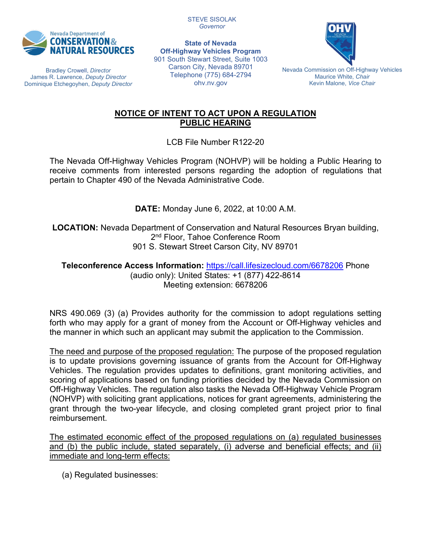

Bradley Crowell, *Director* James R. Lawrence, *Deputy Director* Dominique Etchegoyhen, *Deputy Director*

**State of Nevada Off-Highway Vehicles Program** 901 South Stewart Street, Suite 1003 Carson City, Nevada 89701 Telephone (775) 684-2794 ohv.nv.gov

STEVE SISOLAK *Governor*



Nevada Commission on Off-Highway Vehicles Maurice White, *Chair* Kevin Malone, *Vice Chair*

### **NOTICE OF INTENT TO ACT UPON A REGULATION PUBLIC HEARING**

LCB File Number R122-20

The Nevada Off-Highway Vehicles Program (NOHVP) will be holding a Public Hearing to receive comments from interested persons regarding the adoption of regulations that pertain to Chapter 490 of the Nevada Administrative Code.

**DATE:** Monday June 6, 2022, at 10:00 A.M.

**LOCATION:** Nevada Department of Conservation and Natural Resources Bryan building, 2<sup>nd</sup> Floor, Tahoe Conference Room 901 S. Stewart Street Carson City, NV 89701

**Teleconference Access Information:** <https://call.lifesizecloud.com/6678206> Phone (audio only): United States: +1 (877) 422-8614 Meeting extension: 6678206

NRS 490.069 (3) (a) Provides authority for the commission to adopt regulations setting forth who may apply for a grant of money from the Account or Off-Highway vehicles and the manner in which such an applicant may submit the application to the Commission.

The need and purpose of the proposed regulation: The purpose of the proposed regulation is to update provisions governing issuance of grants from the Account for Off-Highway Vehicles. The regulation provides updates to definitions, grant monitoring activities, and scoring of applications based on funding priorities decided by the Nevada Commission on Off-Highway Vehicles. The regulation also tasks the Nevada Off-Highway Vehicle Program (NOHVP) with soliciting grant applications, notices for grant agreements, administering the grant through the two-year lifecycle, and closing completed grant project prior to final reimbursement.

The estimated economic effect of the proposed regulations on (a) regulated businesses and (b) the public include, stated separately, (i) adverse and beneficial effects; and (ii) immediate and long-term effects:

(a) Regulated businesses: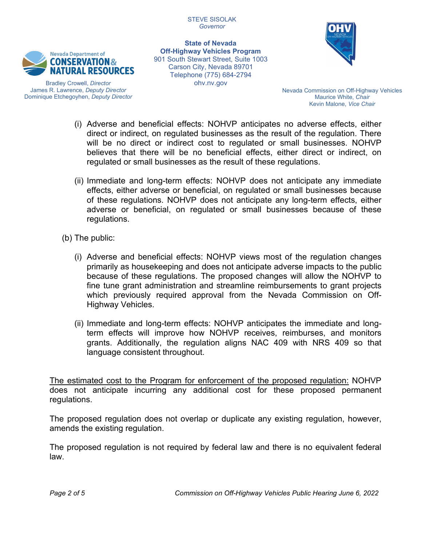

Bradley Crowell, *Director* James R. Lawrence, *Deputy Director* Dominique Etchegoyhen, *Deputy Director*

**State of Nevada Off-Highway Vehicles Program** 901 South Stewart Street, Suite 1003 Carson City, Nevada 89701 Telephone (775) 684-2794 ohv.nv.gov



Nevada Commission on Off-Highway Vehicles Maurice White, *Chair* Kevin Malone, *Vice Chair*

- (i) Adverse and beneficial effects: NOHVP anticipates no adverse effects, either direct or indirect, on regulated businesses as the result of the regulation. There will be no direct or indirect cost to regulated or small businesses. NOHVP believes that there will be no beneficial effects, either direct or indirect, on regulated or small businesses as the result of these regulations.
- (ii) Immediate and long-term effects: NOHVP does not anticipate any immediate effects, either adverse or beneficial, on regulated or small businesses because of these regulations. NOHVP does not anticipate any long-term effects, either adverse or beneficial, on regulated or small businesses because of these regulations.
- (b) The public:
	- (i) Adverse and beneficial effects: NOHVP views most of the regulation changes primarily as housekeeping and does not anticipate adverse impacts to the public because of these regulations. The proposed changes will allow the NOHVP to fine tune grant administration and streamline reimbursements to grant projects which previously required approval from the Nevada Commission on Off-Highway Vehicles.
	- (ii) Immediate and long-term effects: NOHVP anticipates the immediate and longterm effects will improve how NOHVP receives, reimburses, and monitors grants. Additionally, the regulation aligns NAC 409 with NRS 409 so that language consistent throughout.

The estimated cost to the Program for enforcement of the proposed regulation: NOHVP does not anticipate incurring any additional cost for these proposed permanent regulations.

The proposed regulation does not overlap or duplicate any existing regulation, however, amends the existing regulation.

The proposed regulation is not required by federal law and there is no equivalent federal law.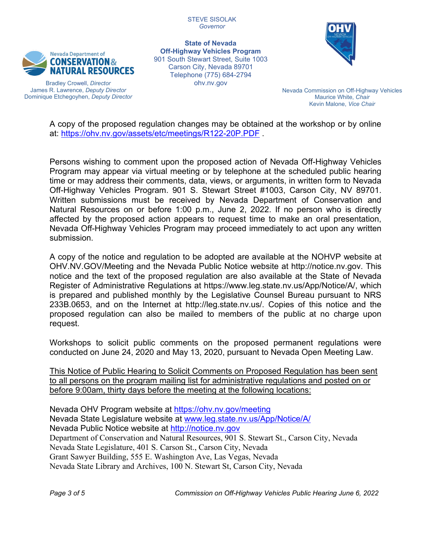

Bradley Crowell, *Director* James R. Lawrence, *Deputy Director* Dominique Etchegoyhen, *Deputy Director*

**State of Nevada Off-Highway Vehicles Program** 901 South Stewart Street, Suite 1003 Carson City, Nevada 89701 Telephone (775) 684-2794 ohv.nv.gov



Nevada Commission on Off-Highway Vehicles Maurice White, *Chair* Kevin Malone, *Vice Chair*

A copy of the proposed regulation changes may be obtained at the workshop or by online at:<https://ohv.nv.gov/assets/etc/meetings/R122-20P.PDF>.

Persons wishing to comment upon the proposed action of Nevada Off-Highway Vehicles Program may appear via virtual meeting or by telephone at the scheduled public hearing time or may address their comments, data, views, or arguments, in written form to Nevada Off-Highway Vehicles Program. 901 S. Stewart Street #1003, Carson City, NV 89701. Written submissions must be received by Nevada Department of Conservation and Natural Resources on or before 1:00 p.m., June 2, 2022. If no person who is directly affected by the proposed action appears to request time to make an oral presentation, Nevada Off-Highway Vehicles Program may proceed immediately to act upon any written submission.

A copy of the notice and regulation to be adopted are available at the NOHVP website at OHV.NV.GOV/Meeting and the Nevada Public Notice website at http://notice.nv.gov. This notice and the text of the proposed regulation are also available at the State of Nevada Register of Administrative Regulations at https://www.leg.state.nv.us/App/Notice/A/, which is prepared and published monthly by the Legislative Counsel Bureau pursuant to NRS 233B.0653, and on the Internet at http://leg.state.nv.us/. Copies of this notice and the proposed regulation can also be mailed to members of the public at no charge upon request.

Workshops to solicit public comments on the proposed permanent regulations were conducted on June 24, 2020 and May 13, 2020, pursuant to Nevada Open Meeting Law.

This Notice of Public Hearing to Solicit Comments on Proposed Regulation has been sent to all persons on the program mailing list for administrative regulations and posted on or before 9:00am, thirty days before the meeting at the following locations:

Nevada OHV Program website at <https://ohv.nv.gov/meeting> Nevada State Legislature website at [www.leg.state.nv.us/App/Notice/A/](http://www.leg.state.nv.us/App/Notice/A/) Nevada Public Notice website at [http://notice.nv.gov](http://notice.nv.gov/) Department of Conservation and Natural Resources, 901 S. Stewart St., Carson City, Nevada Nevada State Legislature, 401 S. Carson St., Carson City, Nevada Grant Sawyer Building, 555 E. Washington Ave, Las Vegas, Nevada Nevada State Library and Archives, 100 N. Stewart St, Carson City, Nevada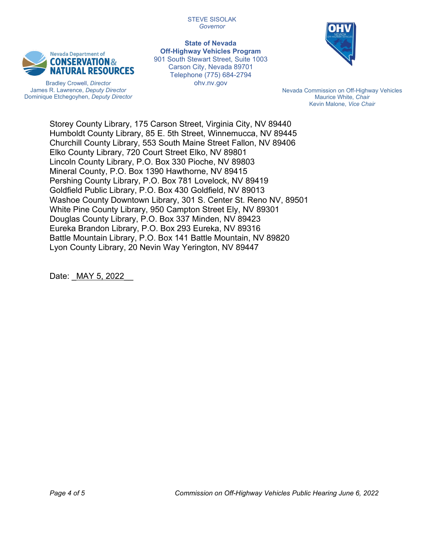

Bradley Crowell, *Director* James R. Lawrence, *Deputy Director* Dominique Etchegoyhen, *Deputy Director*

**State of Nevada Off-Highway Vehicles Program** 901 South Stewart Street, Suite 1003 Carson City, Nevada 89701 Telephone (775) 684-2794 ohv.nv.gov



Nevada Commission on Off-Highway Vehicles Maurice White, *Chair* Kevin Malone, *Vice Chair*

Storey County Library, 175 Carson Street, Virginia City, NV 89440 Humboldt County Library, 85 E. 5th Street, Winnemucca, NV 89445 Churchill County Library, 553 South Maine Street Fallon, NV 89406 Elko County Library, 720 Court Street Elko, NV 89801 Lincoln County Library, P.O. Box 330 Pioche, NV 89803 Mineral County, P.O. Box 1390 Hawthorne, NV 89415 Pershing County Library, P.O. Box 781 Lovelock, NV 89419 Goldfield Public Library, P.O. Box 430 Goldfield, NV 89013 Washoe County Downtown Library, 301 S. Center St. Reno NV, 89501 White Pine County Library, 950 Campton Street Ely, NV 89301 Douglas County Library, P.O. Box 337 Minden, NV 89423 Eureka Brandon Library, P.O. Box 293 Eureka, NV 89316 Battle Mountain Library, P.O. Box 141 Battle Mountain, NV 89820 Lyon County Library, 20 Nevin Way Yerington, NV 89447

Date: MAY 5, 2022